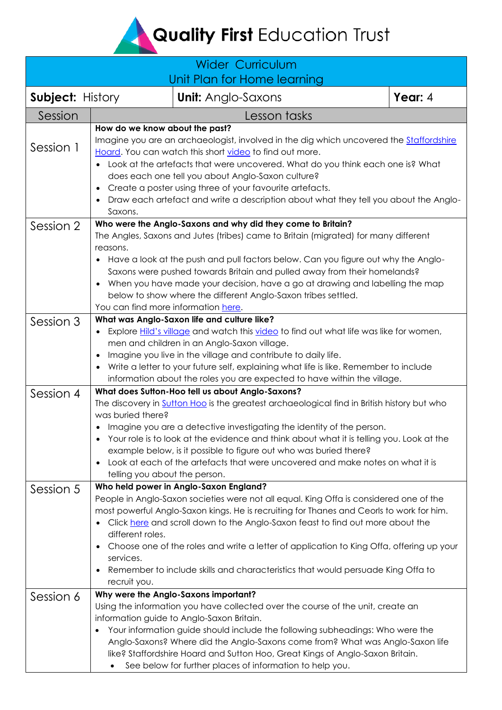Quality First Education Trust

| <b>Wider Curriculum</b><br>Unit Plan for Home learning |                                                                                                                                                                                                                                                                                                                                                                                                                                                                                                                                                |                           |              |         |  |  |  |
|--------------------------------------------------------|------------------------------------------------------------------------------------------------------------------------------------------------------------------------------------------------------------------------------------------------------------------------------------------------------------------------------------------------------------------------------------------------------------------------------------------------------------------------------------------------------------------------------------------------|---------------------------|--------------|---------|--|--|--|
| <b>Subject: History</b>                                |                                                                                                                                                                                                                                                                                                                                                                                                                                                                                                                                                | <b>Unit:</b> Anglo-Saxons |              | Year: 4 |  |  |  |
| Session                                                |                                                                                                                                                                                                                                                                                                                                                                                                                                                                                                                                                |                           | Lesson tasks |         |  |  |  |
| Session 1                                              | How do we know about the past?<br>Imagine you are an archaeologist, involved in the dig which uncovered the <b>Staffordshire</b><br>Hoard. You can watch this short video to find out more.<br>Look at the artefacts that were uncovered. What do you think each one is? What<br>does each one tell you about Anglo-Saxon culture?<br>Create a poster using three of your favourite artefacts.<br>Draw each artefact and write a description about what they tell you about the Anglo-<br>Saxons.                                              |                           |              |         |  |  |  |
| Session 2                                              | Who were the Anglo-Saxons and why did they come to Britain?<br>The Angles, Saxons and Jutes (tribes) came to Britain (migrated) for many different<br>reasons.<br>Have a look at the push and pull factors below. Can you figure out why the Anglo-<br>Saxons were pushed towards Britain and pulled away from their homelands?<br>When you have made your decision, have a go at drawing and labelling the map<br>below to show where the different Anglo-Saxon tribes settled.<br>You can find more information here.                        |                           |              |         |  |  |  |
| Session 3                                              | What was Anglo-Saxon life and culture like?<br>Explore Hild's village and watch this video to find out what life was like for women,<br>men and children in an Anglo-Saxon village.<br>Imagine you live in the village and contribute to daily life.<br>$\bullet$<br>Write a letter to your future self, explaining what life is like. Remember to include<br>information about the roles you are expected to have within the village.                                                                                                         |                           |              |         |  |  |  |
| Session 4                                              | What does Sutton-Hoo tell us about Anglo-Saxons?<br>The discovery in Sutton Hoo is the greatest archaeological find in British history but who<br>was buried there?<br>Imagine you are a detective investigating the identity of the person.<br>$\bullet$<br>Your role is to look at the evidence and think about what it is telling you. Look at the<br>example below, is it possible to figure out who was buried there?<br>Look at each of the artefacts that were uncovered and make notes on what it is<br>telling you about the person.  |                           |              |         |  |  |  |
| Session 5                                              | Who held power in Anglo-Saxon England?<br>People in Anglo-Saxon societies were not all equal. King Offa is considered one of the<br>most powerful Anglo-Saxon kings. He is recruiting for Thanes and Ceorls to work for him.<br>Click here and scroll down to the Anglo-Saxon feast to find out more about the<br>different roles.<br>Choose one of the roles and write a letter of application to King Offa, offering up your<br>services.<br>Remember to include skills and characteristics that would persuade King Offa to<br>recruit you. |                           |              |         |  |  |  |
| Session 6                                              | Why were the Anglo-Saxons important?<br>Using the information you have collected over the course of the unit, create an<br>information guide to Anglo-Saxon Britain.<br>Your information guide should include the following subheadings: Who were the<br>Anglo-Saxons? Where did the Anglo-Saxons come from? What was Anglo-Saxon life<br>like? Staffordshire Hoard and Sutton Hoo, Great Kings of Anglo-Saxon Britain.<br>See below for further places of information to help you.                                                            |                           |              |         |  |  |  |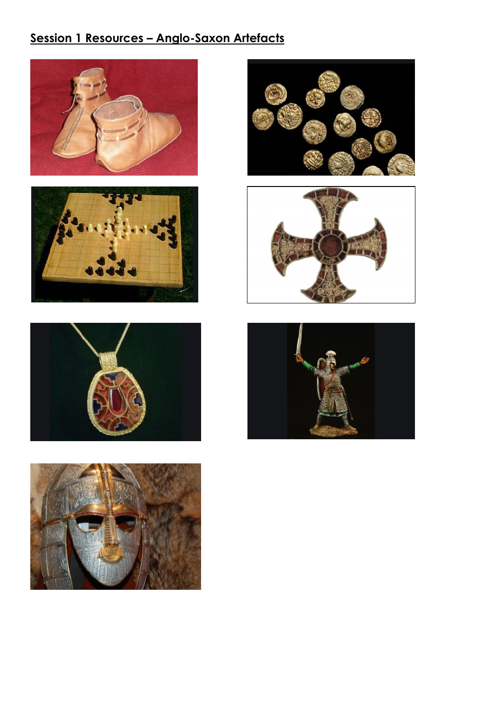# **Session 1 Resources – Anglo-Saxon Artefacts**













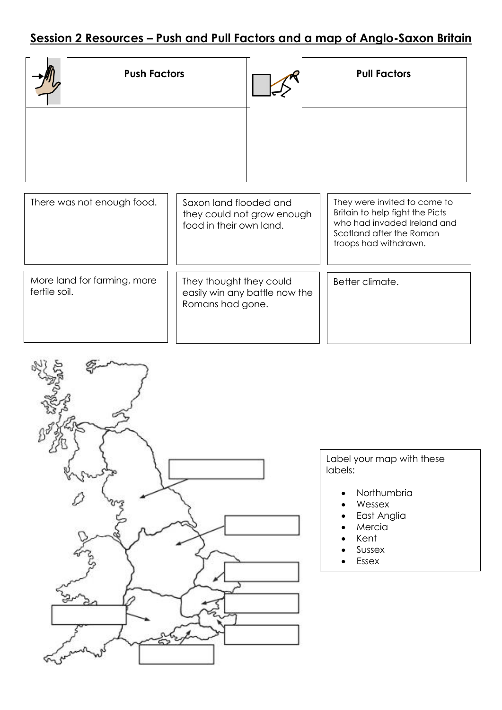## **Session 2 Resources – Push and Pull Factors and a map of Anglo-Saxon Britain**

| <b>Push Factors</b>                          |                                                   |                               | <b>Pull Factors</b>                                                                                                                                 |
|----------------------------------------------|---------------------------------------------------|-------------------------------|-----------------------------------------------------------------------------------------------------------------------------------------------------|
|                                              |                                                   |                               |                                                                                                                                                     |
| There was not enough food.                   | Saxon land flooded and<br>food in their own land. | they could not grow enough    | They were invited to come to<br>Britain to help fight the Picts<br>who had invaded Ireland and<br>Scotland after the Roman<br>troops had withdrawn. |
|                                              |                                                   |                               |                                                                                                                                                     |
| More land for farming, more<br>fertile soil. | They thought they could                           | easily win any battle now the | Better climate.                                                                                                                                     |

Romans had gone.



Label your map with these labels:

- Northumbria
- Wessex
- East Anglia
- Mercia
- Kent
- Sussex
- Essex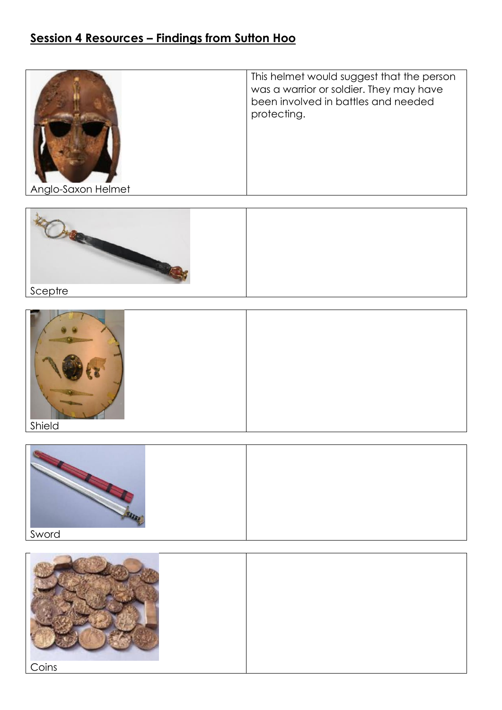## **Session 4 Resources – Findings from Sutton Hoo**









| Coins |  |
|-------|--|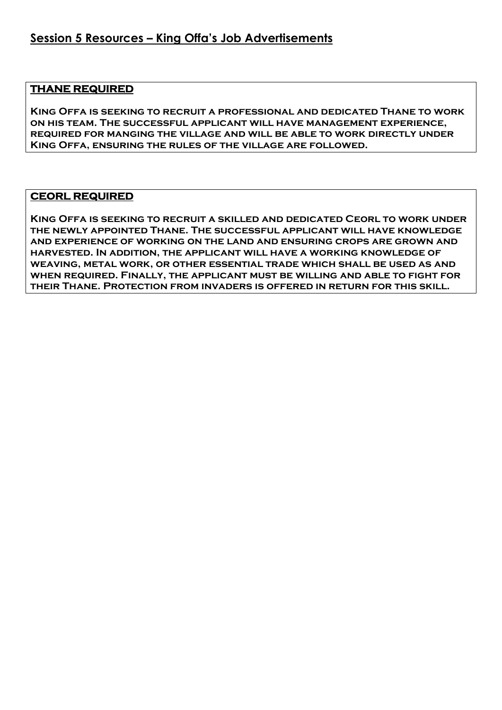#### **THANE REQUIRED**

**King Offa is seeking to recruit a professional and dedicated Thane to work on his team. The successful applicant will have management experience, required for manging the village and will be able to work directly under King Offa, ensuring the rules of the village are followed.** 

#### **CEORL REQUIRED**

**King Offa is seeking to recruit a skilled and dedicated Ceorl to work under the newly appointed Thane. The successful applicant will have knowledge and experience of working on the land and ensuring crops are grown and harvested. In addition, the applicant will have a working knowledge of weaving, metal work, or other essential trade which shall be used as and when required. Finally, the applicant must be willing and able to fight for their Thane. Protection from invaders is offered in return for this skill.**